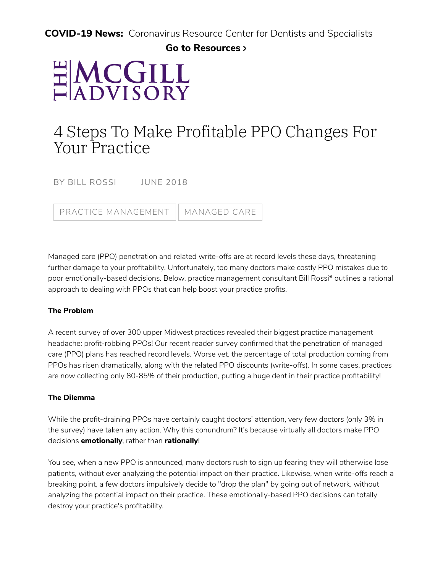**COVID-19 News:** Coronavirus Resource Center for Dentists and Specialists

### **[Go to Resources](https://www.mcgillhillgroup.com/covid19)**

# HMCGILL

## 4 Steps To Make Profitable PPO Changes For Your Practice

BY BILL ROSSI JUNE 2018

PRACTICE [MANAGEMENT](https://www.mcgillhillgroup.com/advisory/archive?year=&search=&pcid=5) | [MANAGED](https://www.mcgillhillgroup.com/advisory/archive?year=&search=&pcid=5&cid=39) CARE

Managed care (PPO) penetration and related write-offs are at record levels these days, threatening further damage to your profitability. Unfortunately, too many doctors make costly PPO mistakes due to poor emotionally-based decisions. Below, practice management consultant Bill Rossi\* outlines a rational approach to dealing with PPOs that can help boost your practice profits.

#### **The Problem**

A recent survey of over 300 upper Midwest practices revealed their biggest practice management headache: profit-robbing PPOs! Our recent reader survey confirmed that the penetration of managed care (PPO) plans has reached record levels. Worse yet, the percentage of total production coming from PPOs has risen dramatically, along with the related PPO discounts (write-offs). In some cases, practices are now collecting only 80-85% of their production, putting a huge dent in their practice profitability!

#### **The Dilemma**

While the profit-draining PPOs have certainly caught doctors' attention, very few doctors (only 3% in the survey) have taken any action. Why this conundrum? It's because virtually all doctors make PPO decisions **emotionally**, rather than **rationally**!

You see, when a new PPO is announced, many doctors rush to sign up fearing they will otherwise lose patients, without ever analyzing the potential impact on their practice. Likewise, when write-offs reach a breaking point, a few doctors impulsively decide to "drop the plan" by going out of network, without analyzing the potential impact on their practice. These emotionally-based PPO decisions can totally destroy your practice's profitability.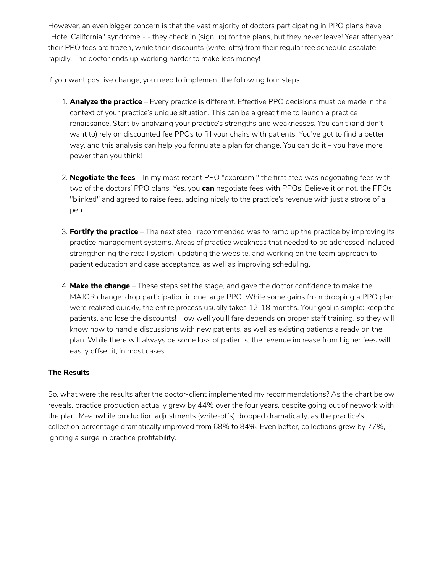However, an even bigger concern is that the vast majority of doctors participating in PPO plans have "Hotel California" syndrome - - they check in (sign up) for the plans, but they never leave! Year after year their PPO fees are frozen, while their discounts (write-offs) from their regular fee schedule escalate rapidly. The doctor ends up working harder to make less money!

If you want positive change, you need to implement the following four steps.

- 1. **Analyze the practice** Every practice is different. Effective PPO decisions must be made in the context of your practice's unique situation. This can be a great time to launch a practice renaissance. Start by analyzing your practice's strengths and weaknesses. You can't (and don't want to) rely on discounted fee PPOs to fill your chairs with patients. You've got to find a better way, and this analysis can help you formulate a plan for change. You can do it – you have more power than you think!
- 2. **Negotiate the fees** In my most recent PPO "exorcism," the first step was negotiating fees with two of the doctors' PPO plans. Yes, you **can** negotiate fees with PPOs! Believe it or not, the PPOs "blinked" and agreed to raise fees, adding nicely to the practice's revenue with just a stroke of a pen.
- 3. **Fortify the practice** The next step I recommended was to ramp up the practice by improving its practice management systems. Areas of practice weakness that needed to be addressed included strengthening the recall system, updating the website, and working on the team approach to patient education and case acceptance, as well as improving scheduling.
- 4. Make the change These steps set the stage, and gave the doctor confidence to make the MAJOR change: drop participation in one large PPO. While some gains from dropping a PPO plan were realized quickly, the entire process usually takes 12-18 months. Your goal is simple: keep the patients, and lose the discounts! How well you'll fare depends on proper staff training, so they will know how to handle discussions with new patients, as well as existing patients already on the plan. While there will always be some loss of patients, the revenue increase from higher fees will easily offset it, in most cases.

#### **The Results**

So, what were the results after the doctor-client implemented my recommendations? As the chart below reveals, practice production actually grew by 44% over the four years, despite going out of network with the plan. Meanwhile production adjustments (write-offs) dropped dramatically, as the practice's collection percentage dramatically improved from 68% to 84%. Even better, collections grew by 77%, igniting a surge in practice profitability.